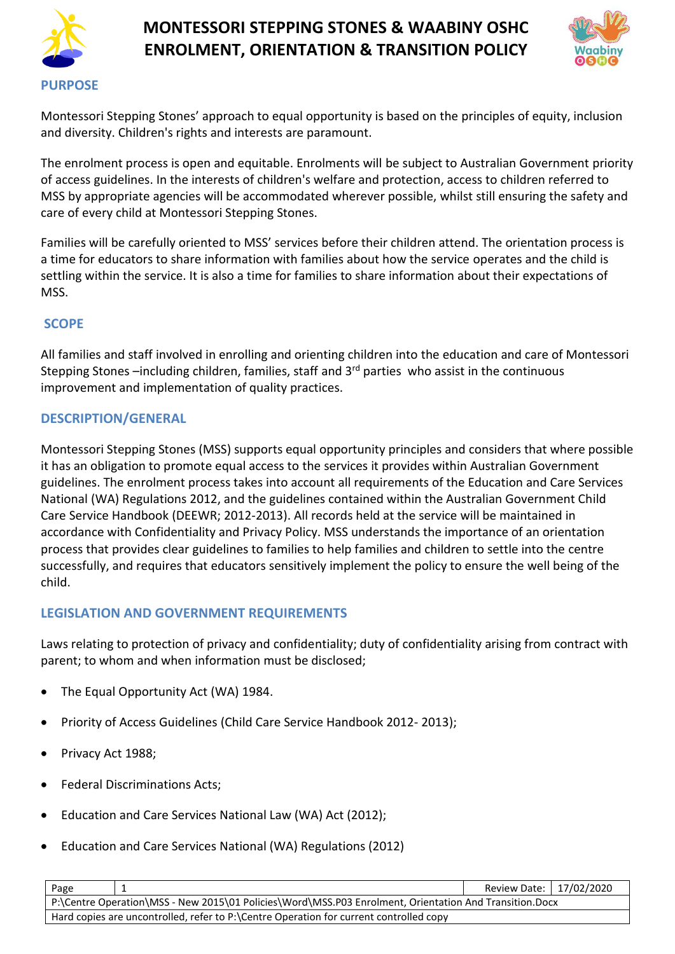



Montessori Stepping Stones' approach to equal opportunity is based on the principles of equity, inclusion and diversity. Children's rights and interests are paramount.

The enrolment process is open and equitable. Enrolments will be subject to Australian Government priority of access guidelines. In the interests of children's welfare and protection, access to children referred to MSS by appropriate agencies will be accommodated wherever possible, whilst still ensuring the safety and care of every child at Montessori Stepping Stones.

Families will be carefully oriented to MSS' services before their children attend. The orientation process is a time for educators to share information with families about how the service operates and the child is settling within the service. It is also a time for families to share information about their expectations of MSS.

### **SCOPE**

All families and staff involved in enrolling and orienting children into the education and care of Montessori Stepping Stones -including children, families, staff and 3<sup>rd</sup> parties who assist in the continuous improvement and implementation of quality practices.

### **DESCRIPTION/GENERAL**

Montessori Stepping Stones (MSS) supports equal opportunity principles and considers that where possible it has an obligation to promote equal access to the services it provides within Australian Government guidelines. The enrolment process takes into account all requirements of the Education and Care Services National (WA) Regulations 2012, and the guidelines contained within the Australian Government Child Care Service Handbook (DEEWR; 2012-2013). All records held at the service will be maintained in accordance with Confidentiality and Privacy Policy. MSS understands the importance of an orientation process that provides clear guidelines to families to help families and children to settle into the centre successfully, and requires that educators sensitively implement the policy to ensure the well being of the child.

## **LEGISLATION AND GOVERNMENT REQUIREMENTS**

Laws relating to protection of privacy and confidentiality; duty of confidentiality arising from contract with parent; to whom and when information must be disclosed;

- The Equal Opportunity Act (WA) 1984.
- Priority of Access Guidelines (Child Care Service Handbook 2012- 2013);
- Privacy Act 1988;
- Federal Discriminations Acts;
- Education and Care Services National Law (WA) Act (2012);
- Education and Care Services National (WA) Regulations (2012)

| Page                                                                                                   |  | Review Date: 17/02/2020 |  |
|--------------------------------------------------------------------------------------------------------|--|-------------------------|--|
| P:\Centre Operation\MSS - New 2015\01 Policies\Word\MSS.P03 Enrolment, Orientation And Transition.Docx |  |                         |  |
| Hard copies are uncontrolled, refer to P:\Centre Operation for current controlled copy                 |  |                         |  |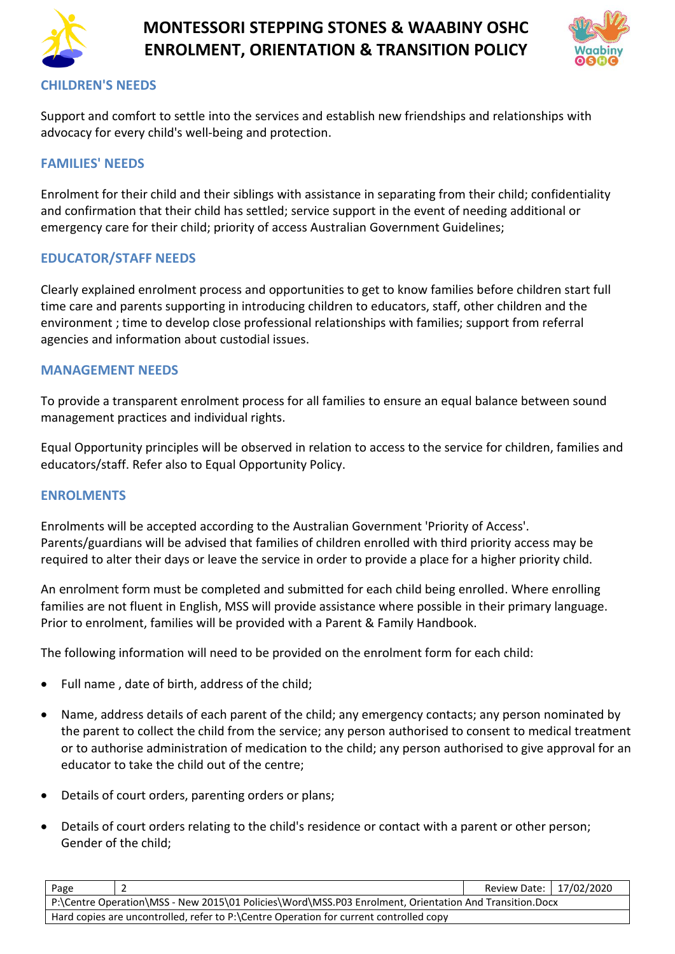



#### **CHILDREN'S NEEDS**

Support and comfort to settle into the services and establish new friendships and relationships with advocacy for every child's well-being and protection.

### **FAMILIES' NEEDS**

Enrolment for their child and their siblings with assistance in separating from their child; confidentiality and confirmation that their child has settled; service support in the event of needing additional or emergency care for their child; priority of access Australian Government Guidelines;

### **EDUCATOR/STAFF NEEDS**

Clearly explained enrolment process and opportunities to get to know families before children start full time care and parents supporting in introducing children to educators, staff, other children and the environment ; time to develop close professional relationships with families; support from referral agencies and information about custodial issues.

#### **MANAGEMENT NEEDS**

To provide a transparent enrolment process for all families to ensure an equal balance between sound management practices and individual rights.

Equal Opportunity principles will be observed in relation to access to the service for children, families and educators/staff. Refer also to Equal Opportunity Policy.

#### **ENROLMENTS**

Enrolments will be accepted according to the Australian Government 'Priority of Access'. Parents/guardians will be advised that families of children enrolled with third priority access may be required to alter their days or leave the service in order to provide a place for a higher priority child.

An enrolment form must be completed and submitted for each child being enrolled. Where enrolling families are not fluent in English, MSS will provide assistance where possible in their primary language. Prior to enrolment, families will be provided with a Parent & Family Handbook.

The following information will need to be provided on the enrolment form for each child:

- Full name , date of birth, address of the child;
- Name, address details of each parent of the child; any emergency contacts; any person nominated by the parent to collect the child from the service; any person authorised to consent to medical treatment or to authorise administration of medication to the child; any person authorised to give approval for an educator to take the child out of the centre;
- Details of court orders, parenting orders or plans;
- Details of court orders relating to the child's residence or contact with a parent or other person; Gender of the child;

| Page                                                                                                   |  | Review Date: 17/02/2020 |  |
|--------------------------------------------------------------------------------------------------------|--|-------------------------|--|
| P:\Centre Operation\MSS - New 2015\01 Policies\Word\MSS.P03 Enrolment, Orientation And Transition.Docx |  |                         |  |
| Hard copies are uncontrolled, refer to P:\Centre Operation for current controlled copy                 |  |                         |  |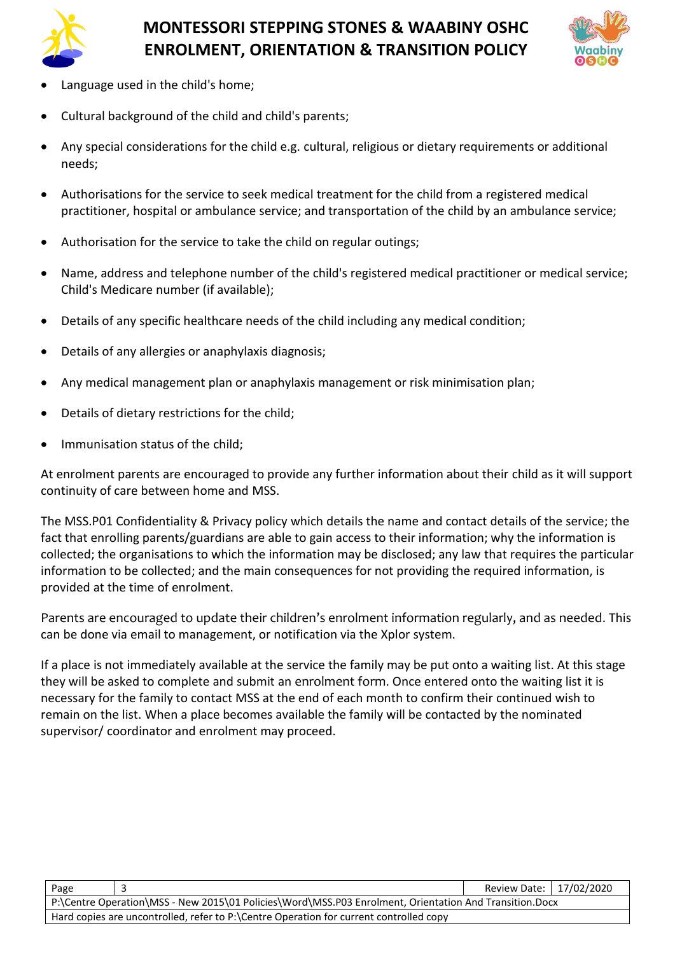



- Language used in the child's home;
- Cultural background of the child and child's parents;
- Any special considerations for the child e.g. cultural, religious or dietary requirements or additional needs;
- Authorisations for the service to seek medical treatment for the child from a registered medical practitioner, hospital or ambulance service; and transportation of the child by an ambulance service;
- Authorisation for the service to take the child on regular outings;
- Name, address and telephone number of the child's registered medical practitioner or medical service; Child's Medicare number (if available);
- Details of any specific healthcare needs of the child including any medical condition;
- Details of any allergies or anaphylaxis diagnosis;
- Any medical management plan or anaphylaxis management or risk minimisation plan;
- Details of dietary restrictions for the child;
- Immunisation status of the child:

At enrolment parents are encouraged to provide any further information about their child as it will support continuity of care between home and MSS.

The MSS.P01 Confidentiality & Privacy policy which details the name and contact details of the service; the fact that enrolling parents/guardians are able to gain access to their information; why the information is collected; the organisations to which the information may be disclosed; any law that requires the particular information to be collected; and the main consequences for not providing the required information, is provided at the time of enrolment.

Parents are encouraged to update their children's enrolment information regularly, and as needed. This can be done via email to management, or notification via the Xplor system.

If a place is not immediately available at the service the family may be put onto a waiting list. At this stage they will be asked to complete and submit an enrolment form. Once entered onto the waiting list it is necessary for the family to contact MSS at the end of each month to confirm their continued wish to remain on the list. When a place becomes available the family will be contacted by the nominated supervisor/ coordinator and enrolment may proceed.

| Page                                                                                                   |  | Review Date: 17/02/2020 |  |
|--------------------------------------------------------------------------------------------------------|--|-------------------------|--|
| P:\Centre Operation\MSS - New 2015\01 Policies\Word\MSS.P03 Enrolment, Orientation And Transition.Docx |  |                         |  |
| Hard copies are uncontrolled, refer to P:\Centre Operation for current controlled copy                 |  |                         |  |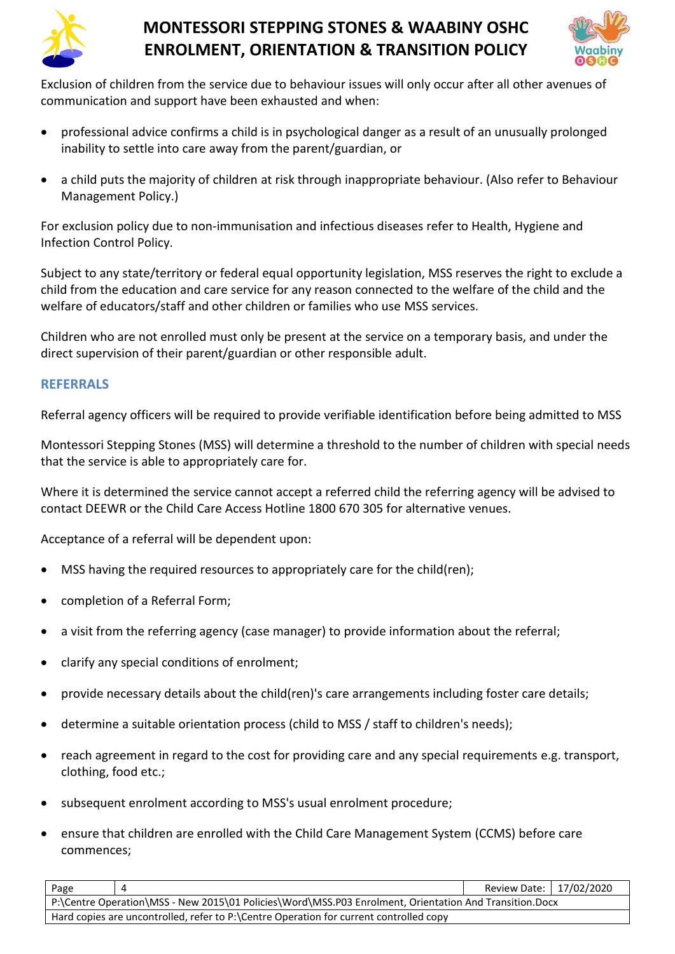



Exclusion of children from the service due to behaviour issues will only occur after all other avenues of communication and support have been exhausted and when:

- professional advice confirms a child is in psychological danger as a result of an unusually prolonged inability to settle into care away from the parent/guardian, or
- a child puts the majority of children at risk through inappropriate behaviour. (Also refer to Behaviour Management Policy.)

For exclusion policy due to non-immunisation and infectious diseases refer to Health, Hygiene and Infection Control Policy.

Subject to any state/territory or federal equal opportunity legislation, MSS reserves the right to exclude a child from the education and care service for any reason connected to the welfare of the child and the welfare of educators/staff and other children or families who use MSS services.

Children who are not enrolled must only be present at the service on a temporary basis, and under the direct supervision of their parent/guardian or other responsible adult.

#### **REFERRALS**

Referral agency officers will be required to provide verifiable identification before being admitted to MSS

Montessori Stepping Stones (MSS) will determine a threshold to the number of children with special needs that the service is able to appropriately care for.

Where it is determined the service cannot accept a referred child the referring agency will be advised to contact DEEWR or the Child Care Access Hotline 1800 670 305 for alternative venues.

Acceptance of a referral will be dependent upon:

- MSS having the required resources to appropriately care for the child(ren);
- completion of a Referral Form;
- a visit from the referring agency (case manager) to provide information about the referral;
- clarify any special conditions of enrolment;
- provide necessary details about the child(ren)'s care arrangements including foster care details;
- determine a suitable orientation process (child to MSS / staff to children's needs);
- reach agreement in regard to the cost for providing care and any special requirements e.g. transport, clothing, food etc.;
- subsequent enrolment according to MSS's usual enrolment procedure;
- ensure that children are enrolled with the Child Care Management System (CCMS) before care commences;

| Page                                                                                                   |  | Review Date: 17/02/2020 |  |
|--------------------------------------------------------------------------------------------------------|--|-------------------------|--|
| P:\Centre Operation\MSS - New 2015\01 Policies\Word\MSS.P03 Enrolment, Orientation And Transition.Docx |  |                         |  |
| Hard copies are uncontrolled, refer to P:\Centre Operation for current controlled copy                 |  |                         |  |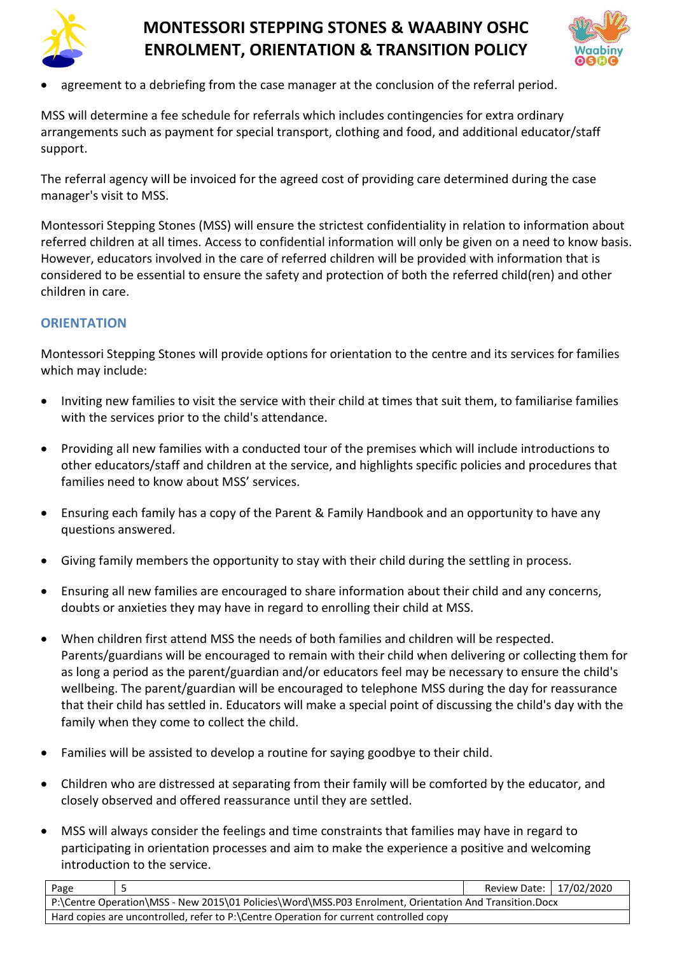



• agreement to a debriefing from the case manager at the conclusion of the referral period.

MSS will determine a fee schedule for referrals which includes contingencies for extra ordinary arrangements such as payment for special transport, clothing and food, and additional educator/staff support.

The referral agency will be invoiced for the agreed cost of providing care determined during the case manager's visit to MSS.

Montessori Stepping Stones (MSS) will ensure the strictest confidentiality in relation to information about referred children at all times. Access to confidential information will only be given on a need to know basis. However, educators involved in the care of referred children will be provided with information that is considered to be essential to ensure the safety and protection of both the referred child(ren) and other children in care.

## **ORIENTATION**

Montessori Stepping Stones will provide options for orientation to the centre and its services for families which may include:

- Inviting new families to visit the service with their child at times that suit them, to familiarise families with the services prior to the child's attendance.
- Providing all new families with a conducted tour of the premises which will include introductions to other educators/staff and children at the service, and highlights specific policies and procedures that families need to know about MSS' services.
- Ensuring each family has a copy of the Parent & Family Handbook and an opportunity to have any questions answered.
- Giving family members the opportunity to stay with their child during the settling in process.
- Ensuring all new families are encouraged to share information about their child and any concerns, doubts or anxieties they may have in regard to enrolling their child at MSS.
- When children first attend MSS the needs of both families and children will be respected. Parents/guardians will be encouraged to remain with their child when delivering or collecting them for as long a period as the parent/guardian and/or educators feel may be necessary to ensure the child's wellbeing. The parent/guardian will be encouraged to telephone MSS during the day for reassurance that their child has settled in. Educators will make a special point of discussing the child's day with the family when they come to collect the child.
- Families will be assisted to develop a routine for saying goodbye to their child.
- Children who are distressed at separating from their family will be comforted by the educator, and closely observed and offered reassurance until they are settled.
- MSS will always consider the feelings and time constraints that families may have in regard to participating in orientation processes and aim to make the experience a positive and welcoming introduction to the service.

| Page                                                                                                   |  | Review Date: 17/02/2020 |  |
|--------------------------------------------------------------------------------------------------------|--|-------------------------|--|
| P:\Centre Operation\MSS - New 2015\01 Policies\Word\MSS.P03 Enrolment, Orientation And Transition.Docx |  |                         |  |
| Hard copies are uncontrolled, refer to P:\Centre Operation for current controlled copy                 |  |                         |  |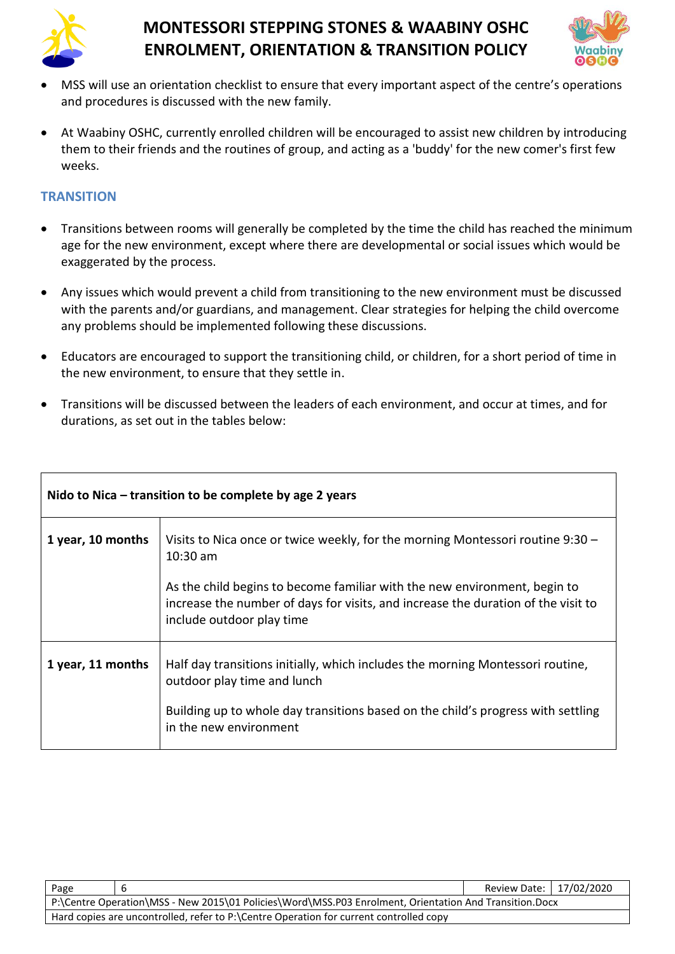



- MSS will use an orientation checklist to ensure that every important aspect of the centre's operations and procedures is discussed with the new family.
- At Waabiny OSHC, currently enrolled children will be encouraged to assist new children by introducing them to their friends and the routines of group, and acting as a 'buddy' for the new comer's first few weeks.

### **TRANSITION**

- Transitions between rooms will generally be completed by the time the child has reached the minimum age for the new environment, except where there are developmental or social issues which would be exaggerated by the process.
- Any issues which would prevent a child from transitioning to the new environment must be discussed with the parents and/or guardians, and management. Clear strategies for helping the child overcome any problems should be implemented following these discussions.
- Educators are encouraged to support the transitioning child, or children, for a short period of time in the new environment, to ensure that they settle in.
- Transitions will be discussed between the leaders of each environment, and occur at times, and for durations, as set out in the tables below:

| Nido to Nica $-$ transition to be complete by age 2 years |                                                                                                                                                                                                                             |  |  |
|-----------------------------------------------------------|-----------------------------------------------------------------------------------------------------------------------------------------------------------------------------------------------------------------------------|--|--|
| 1 year, 10 months                                         | Visits to Nica once or twice weekly, for the morning Montessori routine 9:30 -<br>$10:30$ am                                                                                                                                |  |  |
|                                                           | As the child begins to become familiar with the new environment, begin to<br>increase the number of days for visits, and increase the duration of the visit to<br>include outdoor play time                                 |  |  |
| 1 year, 11 months                                         | Half day transitions initially, which includes the morning Montessori routine,<br>outdoor play time and lunch<br>Building up to whole day transitions based on the child's progress with settling<br>in the new environment |  |  |

| Page                                                                                                   |  | Review Date:   17/02/2020 |  |
|--------------------------------------------------------------------------------------------------------|--|---------------------------|--|
| P:\Centre Operation\MSS - New 2015\01 Policies\Word\MSS.P03 Enrolment, Orientation And Transition.Docx |  |                           |  |
| Hard copies are uncontrolled, refer to P:\Centre Operation for current controlled copy                 |  |                           |  |